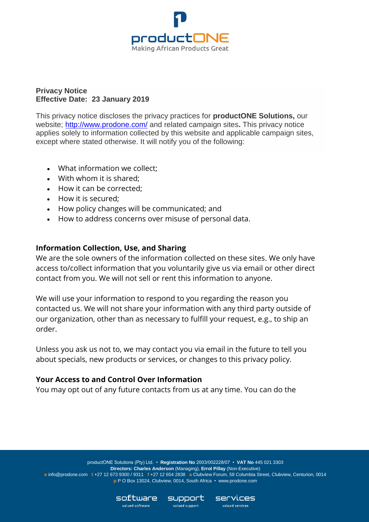

### **Privacy Notice Effective Date: 23 January 2019**

This privacy notice discloses the privacy practices for **productONE Solutions,** our website;<http://www.prodone.com/> and related campaign sites**.** This privacy notice applies solely to information collected by this website and applicable campaign sites, except where stated otherwise. It will notify you of the following:

- What information we collect;
- With whom it is shared;
- How it can be corrected;
- How it is secured;
- How policy changes will be communicated; and
- How to address concerns over misuse of personal data.

## **Information Collection, Use, and Sharing**

We are the sole owners of the information collected on these sites. We only have access to/collect information that you voluntarily give us via email or other direct contact from you. We will not sell or rent this information to anyone.

We will use your information to respond to you regarding the reason you contacted us. We will not share your information with any third party outside of our organization, other than as necessary to fulfill your request, e.g., to ship an order.

Unless you ask us not to, we may contact you via email in the future to tell you about specials, new products or services, or changes to this privacy policy.

### **Your Access to and Control Over Information**

You may opt out of any future contacts from us at any time. You can do the

productONE Solutions (Pty) Ltd. • **Registration No** 2003/002228/07 • **VAT No** 445 021 3303 **Directors: Charles Anderson** (Managing), **Errol Pillay** (Non-Executive) **e** info@prodone.com **t** +27 12 673 9300 / 9311 **f** +27 12 654 2838 **a** Clubview Forum, 58 Columbia Street, Clubview, Centurion, 0014 **p** P O Box 13024, Clubview, 0014, South Africa • [www.prodone.com](http://www.prodone.com/)

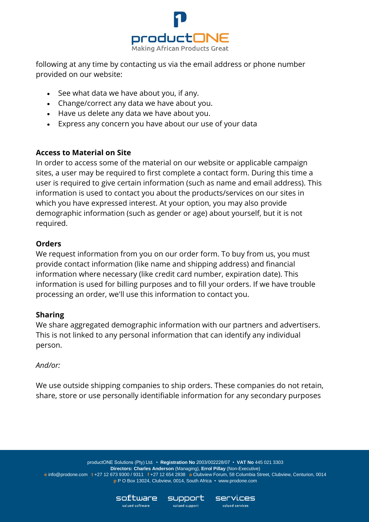

following at any time by contacting us via the email address or phone number provided on our website:

- See what data we have about you, if any.
- Change/correct any data we have about you.
- Have us delete any data we have about you.
- Express any concern you have about our use of your data

# **Access to Material on Site**

In order to access some of the material on our website or applicable campaign sites, a user may be required to first complete a contact form. During this time a user is required to give certain information (such as name and email address). This information is used to contact you about the products/services on our sites in which you have expressed interest. At your option, you may also provide demographic information (such as gender or age) about yourself, but it is not required.

# **Orders**

We request information from you on our order form. To buy from us, you must provide contact information (like name and shipping address) and financial information where necessary (like credit card number, expiration date). This information is used for billing purposes and to fill your orders. If we have trouble processing an order, we'll use this information to contact you.

## **Sharing**

We share aggregated demographic information with our partners and advertisers. This is not linked to any personal information that can identify any individual person.

## *And/or:*

We use outside shipping companies to ship orders. These companies do not retain, share, store or use personally identifiable information for any secondary purposes

productONE Solutions (Pty) Ltd. • **Registration No** 2003/002228/07 • **VAT No** 445 021 3303 **Directors: Charles Anderson** (Managing), **Errol Pillay** (Non-Executive) **e** info@prodone.com **t** +27 12 673 9300 / 9311 **f** +27 12 654 2838 **a** Clubview Forum, 58 Columbia Street, Clubview, Centurion, 0014 **p** P O Box 13024, Clubview, 0014, South Africa • [www.prodone.com](http://www.prodone.com/)

**Services** 

valued services

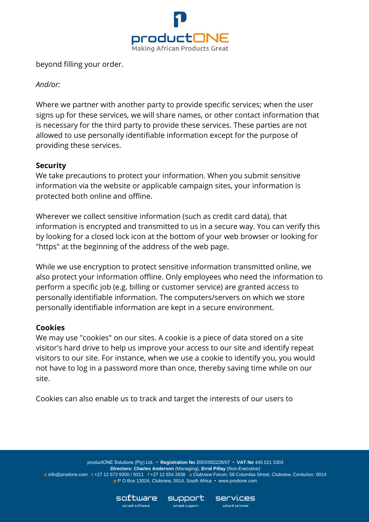

beyond filling your order.

# *And/or:*

Where we partner with another party to provide specific services; when the user signs up for these services, we will share names, or other contact information that is necessary for the third party to provide these services. These parties are not allowed to use personally identifiable information except for the purpose of providing these services.

# **Security**

We take precautions to protect your information. When you submit sensitive information via the website or applicable campaign sites, your information is protected both online and offline.

Wherever we collect sensitive information (such as credit card data), that information is encrypted and transmitted to us in a secure way. You can verify this by looking for a closed lock icon at the bottom of your web browser or looking for "https" at the beginning of the address of the web page.

While we use encryption to protect sensitive information transmitted online, we also protect your information offline. Only employees who need the information to perform a specific job (e.g. billing or customer service) are granted access to personally identifiable information. The computers/servers on which we store personally identifiable information are kept in a secure environment.

## **Cookies**

We may use "cookies" on our sites. A cookie is a piece of data stored on a site visitor's hard drive to help us improve your access to our site and identify repeat visitors to our site. For instance, when we use a cookie to identify you, you would not have to log in a password more than once, thereby saving time while on our site.

Cookies can also enable us to track and target the interests of our users to

productONE Solutions (Pty) Ltd. • **Registration No** 2003/002228/07 • **VAT No** 445 021 3303 **Directors: Charles Anderson** (Managing), **Errol Pillay** (Non-Executive) **e** info@prodone.com **t** +27 12 673 9300 / 9311 **f** +27 12 654 2838 **a** Clubview Forum, 58 Columbia Street, Clubview, Centurion, 0014 **p** P O Box 13024, Clubview, 0014, South Africa • [www.prodone.com](http://www.prodone.com/)